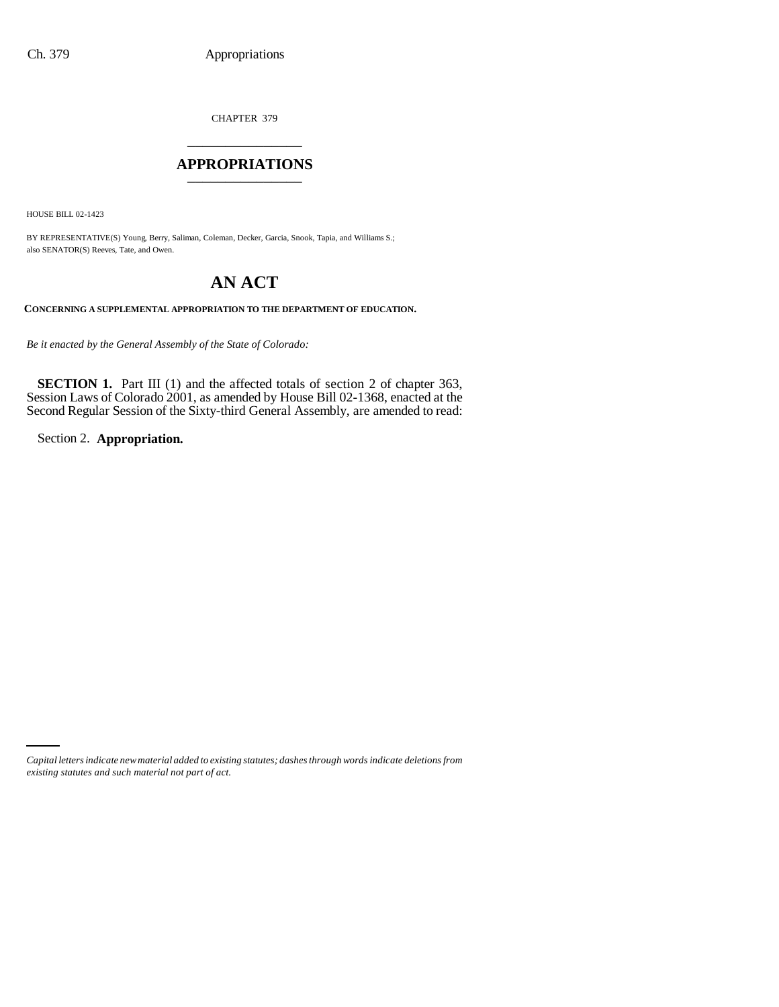CHAPTER 379 \_\_\_\_\_\_\_\_\_\_\_\_\_\_\_

## **APPROPRIATIONS** \_\_\_\_\_\_\_\_\_\_\_\_\_\_\_

HOUSE BILL 02-1423

BY REPRESENTATIVE(S) Young, Berry, Saliman, Coleman, Decker, Garcia, Snook, Tapia, and Williams S.; also SENATOR(S) Reeves, Tate, and Owen.

## **AN ACT**

**CONCERNING A SUPPLEMENTAL APPROPRIATION TO THE DEPARTMENT OF EDUCATION.**

*Be it enacted by the General Assembly of the State of Colorado:*

**SECTION 1.** Part III (1) and the affected totals of section 2 of chapter 363, Session Laws of Colorado 2001, as amended by House Bill 02-1368, enacted at the Second Regular Session of the Sixty-third General Assembly, are amended to read:

Section 2. **Appropriation.**

*Capital letters indicate new material added to existing statutes; dashes through words indicate deletions from existing statutes and such material not part of act.*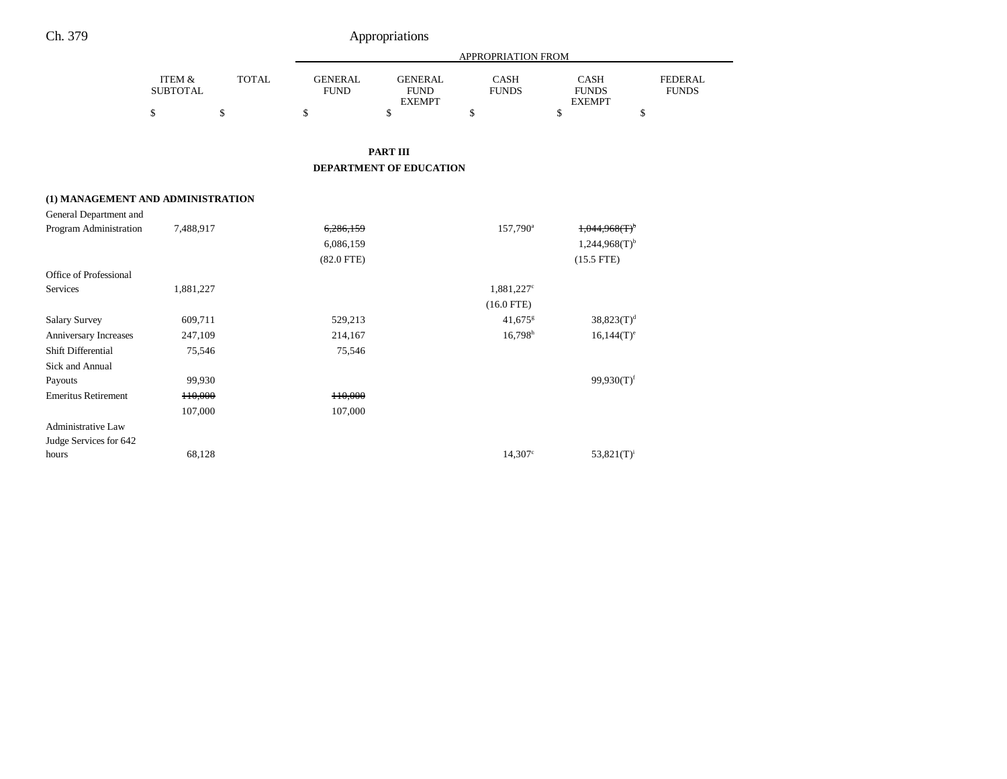|                                   |                                      |              | <b>APPROPRIATION FROM</b>     |                                                |                             |                                              |                                |  |
|-----------------------------------|--------------------------------------|--------------|-------------------------------|------------------------------------------------|-----------------------------|----------------------------------------------|--------------------------------|--|
|                                   | <b>ITEM &amp;</b><br><b>SUBTOTAL</b> | <b>TOTAL</b> | <b>GENERAL</b><br><b>FUND</b> | <b>GENERAL</b><br><b>FUND</b><br><b>EXEMPT</b> | <b>CASH</b><br><b>FUNDS</b> | <b>CASH</b><br><b>FUNDS</b><br><b>EXEMPT</b> | <b>FEDERAL</b><br><b>FUNDS</b> |  |
|                                   | $\$$                                 | \$           | \$                            | \$                                             | \$                          | \$<br>\$                                     |                                |  |
|                                   |                                      |              |                               | <b>PART III</b>                                |                             |                                              |                                |  |
|                                   |                                      |              |                               | <b>DEPARTMENT OF EDUCATION</b>                 |                             |                                              |                                |  |
| (1) MANAGEMENT AND ADMINISTRATION |                                      |              |                               |                                                |                             |                                              |                                |  |
| General Department and            |                                      |              |                               |                                                |                             |                                              |                                |  |
| Program Administration            | 7,488,917                            |              | 6,286,159                     |                                                | 157,790 <sup>a</sup>        | 1,044,968(T)                                 |                                |  |
|                                   |                                      |              | 6,086,159                     |                                                |                             | $1,244,968(T)$ <sup>b</sup>                  |                                |  |
|                                   |                                      |              | $(82.0$ FTE)                  |                                                |                             | $(15.5$ FTE)                                 |                                |  |
| Office of Professional            |                                      |              |                               |                                                |                             |                                              |                                |  |
| Services                          | 1,881,227                            |              |                               |                                                | $1,881,227^c$               |                                              |                                |  |
|                                   |                                      |              |                               |                                                | $(16.0$ FTE)                |                                              |                                |  |
| <b>Salary Survey</b>              | 609,711                              |              | 529,213                       |                                                | 41,675 $s$                  | $38,823(T)^d$                                |                                |  |
| Anniversary Increases             | 247,109                              |              | 214,167                       |                                                | $16,798$ <sup>h</sup>       | $16,144(T)^e$                                |                                |  |
| Shift Differential                | 75,546                               |              | 75,546                        |                                                |                             |                                              |                                |  |
| Sick and Annual                   |                                      |              |                               |                                                |                             |                                              |                                |  |
| Payouts                           | 99,930                               |              |                               |                                                |                             | $99,930(T)$ <sup>f</sup>                     |                                |  |
| <b>Emeritus Retirement</b>        | 110,000                              |              | H0.000                        |                                                |                             |                                              |                                |  |
|                                   | 107,000                              |              | 107,000                       |                                                |                             |                                              |                                |  |
| <b>Administrative Law</b>         |                                      |              |                               |                                                |                             |                                              |                                |  |
| Judge Services for 642            |                                      |              |                               |                                                |                             |                                              |                                |  |
| hours                             | 68,128                               |              |                               |                                                | 14,307c                     | $53,821(T)^i$                                |                                |  |

Ch. 379 Appropriations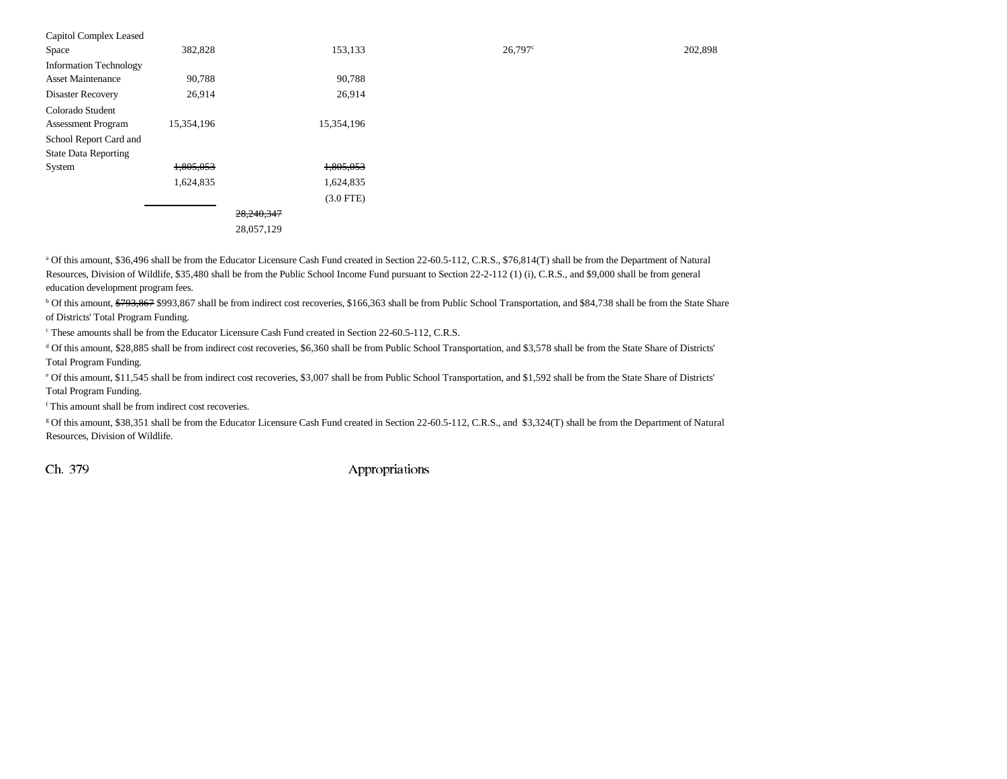| Capitol Complex Leased        |            |             |         |         |
|-------------------------------|------------|-------------|---------|---------|
| Space                         | 382,828    | 153,133     | 26,797c | 202,898 |
| <b>Information Technology</b> |            |             |         |         |
| <b>Asset Maintenance</b>      | 90,788     | 90,788      |         |         |
| Disaster Recovery             | 26,914     | 26,914      |         |         |
| Colorado Student              |            |             |         |         |
| <b>Assessment Program</b>     | 15,354,196 | 15,354,196  |         |         |
| School Report Card and        |            |             |         |         |
| <b>State Data Reporting</b>   |            |             |         |         |
| System                        | 1,805,053  | 1,805,053   |         |         |
|                               | 1,624,835  | 1,624,835   |         |         |
|                               |            | $(3.0$ FTE) |         |         |
|                               |            | 28,240,347  |         |         |
|                               |            | 28,057,129  |         |         |

<sup>a</sup> Of this amount, \$36,496 shall be from the Educator Licensure Cash Fund created in Section 22-60.5-112, C.R.S., \$76,814(T) shall be from the Department of Natural Resources, Division of Wildlife, \$35,480 shall be from the Public School Income Fund pursuant to Section 22-2-112 (1) (i), C.R.S., and \$9,000 shall be from general education development program fees.

<sup>b</sup> Of this amount, \$793,867 \$993,867 shall be from indirect cost recoveries, \$166,363 shall be from Public School Transportation, and \$84,738 shall be from the State Share of Districts' Total Program Funding.

<sup>c</sup> These amounts shall be from the Educator Licensure Cash Fund created in Section 22-60.5-112, C.R.S.

d Of this amount, \$28,885 shall be from indirect cost recoveries, \$6,360 shall be from Public School Transportation, and \$3,578 shall be from the State Share of Districts' Total Program Funding.

e Of this amount, \$11,545 shall be from indirect cost recoveries, \$3,007 shall be from Public School Transportation, and \$1,592 shall be from the State Share of Districts' Total Program Funding.

f This amount shall be from indirect cost recoveries.

g Of this amount, \$38,351 shall be from the Educator Licensure Cash Fund created in Section 22-60.5-112, C.R.S., and \$3,324(T) shall be from the Department of Natural Resources, Division of Wildlife.

Ch. 379 Appropriations